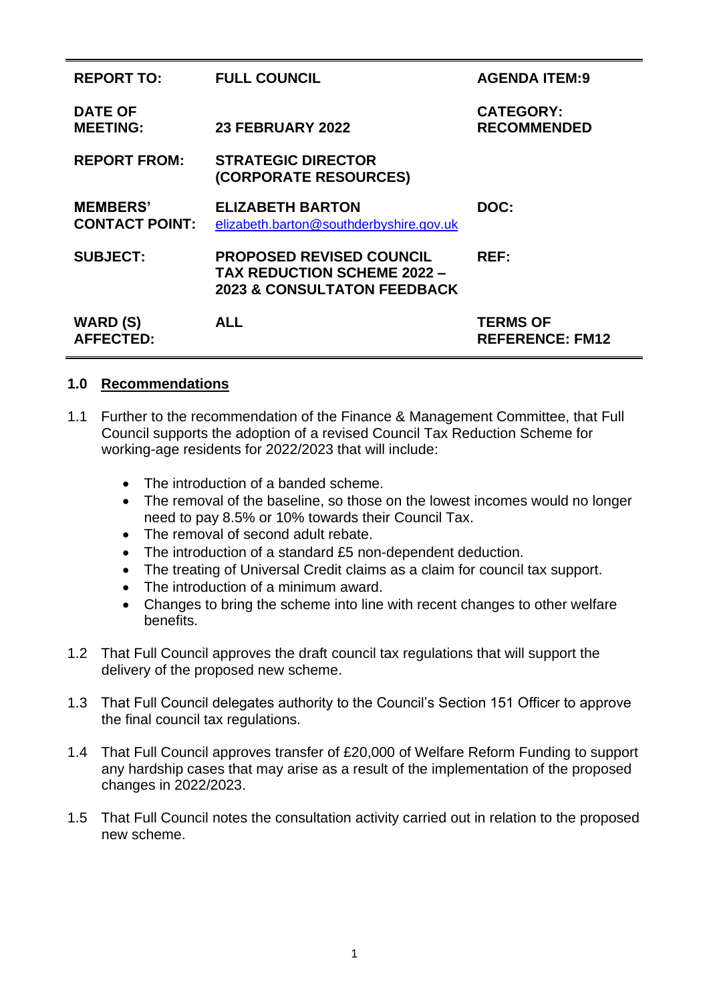| <b>REPORT TO:</b>                        | <b>FULL COUNCIL</b>                                                                                             | <b>AGENDA ITEM:9</b>                      |
|------------------------------------------|-----------------------------------------------------------------------------------------------------------------|-------------------------------------------|
| <b>DATE OF</b><br><b>MEETING:</b>        | 23 FEBRUARY 2022                                                                                                | <b>CATEGORY:</b><br><b>RECOMMENDED</b>    |
| <b>REPORT FROM:</b>                      | <b>STRATEGIC DIRECTOR</b><br>(CORPORATE RESOURCES)                                                              |                                           |
| <b>MEMBERS'</b><br><b>CONTACT POINT:</b> | <b>ELIZABETH BARTON</b><br>elizabeth.barton@southderbyshire.gov.uk                                              | DOC:                                      |
| <b>SUBJECT:</b>                          | <b>PROPOSED REVISED COUNCIL</b><br><b>TAX REDUCTION SCHEME 2022 -</b><br><b>2023 &amp; CONSULTATON FEEDBACK</b> | REF:                                      |
| WARD (S)<br><b>AFFECTED:</b>             | <b>ALL</b>                                                                                                      | <b>TERMS OF</b><br><b>REFERENCE: FM12</b> |

# **1.0 Recommendations**

- 1.1 Further to the recommendation of the Finance & Management Committee, that Full Council supports the adoption of a revised Council Tax Reduction Scheme for working-age residents for 2022/2023 that will include:
	- The introduction of a banded scheme.
	- The removal of the baseline, so those on the lowest incomes would no longer need to pay 8.5% or 10% towards their Council Tax.
	- The removal of second adult rebate.
	- The introduction of a standard £5 non-dependent deduction.
	- The treating of Universal Credit claims as a claim for council tax support.
	- The introduction of a minimum award.
	- Changes to bring the scheme into line with recent changes to other welfare benefits.
- 1.2 That Full Council approves the draft council tax regulations that will support the delivery of the proposed new scheme.
- 1.3 That Full Council delegates authority to the Council's Section 151 Officer to approve the final council tax regulations.
- 1.4 That Full Council approves transfer of £20,000 of Welfare Reform Funding to support any hardship cases that may arise as a result of the implementation of the proposed changes in 2022/2023.
- 1.5 That Full Council notes the consultation activity carried out in relation to the proposed new scheme.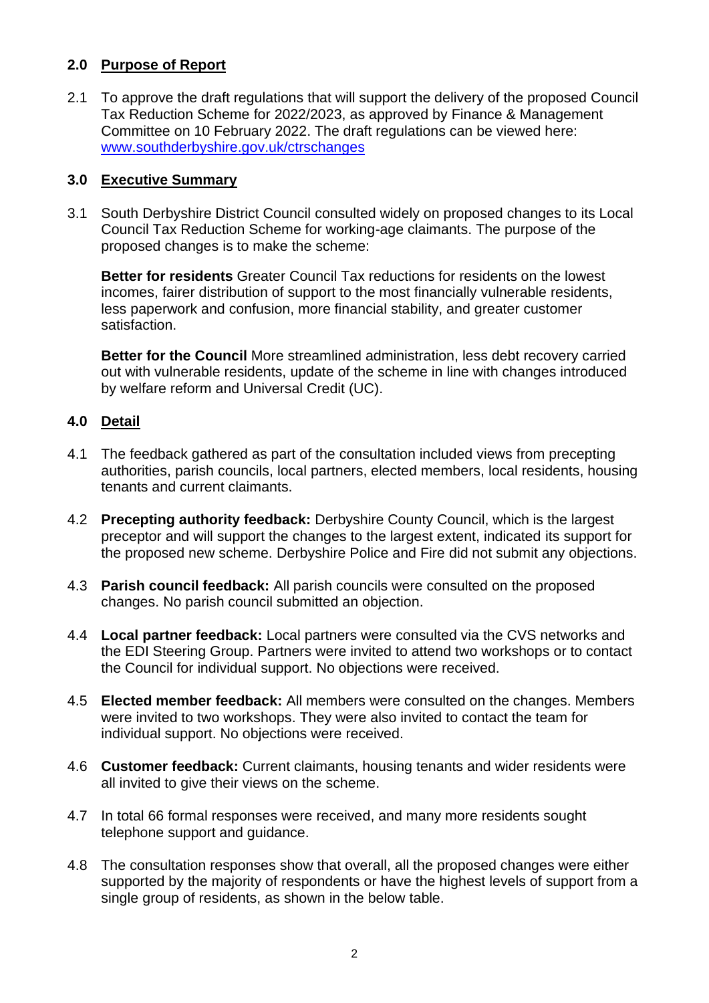## **2.0 Purpose of Report**

2.1 To approve the draft regulations that will support the delivery of the proposed Council Tax Reduction Scheme for 2022/2023, as approved by Finance & Management Committee on 10 February 2022. The draft regulations can be viewed here: [www.southderbyshire.gov.uk/ctrschanges](http://www.southderbyshire.gov.uk/cctrschanges)

## **3.0 Executive Summary**

3.1 South Derbyshire District Council consulted widely on proposed changes to its Local Council Tax Reduction Scheme for working-age claimants. The purpose of the proposed changes is to make the scheme:

**Better for residents** Greater Council Tax reductions for residents on the lowest incomes, fairer distribution of support to the most financially vulnerable residents, less paperwork and confusion, more financial stability, and greater customer satisfaction.

**Better for the Council** More streamlined administration, less debt recovery carried out with vulnerable residents, update of the scheme in line with changes introduced by welfare reform and Universal Credit (UC).

## **4.0 Detail**

- 4.1 The feedback gathered as part of the consultation included views from precepting authorities, parish councils, local partners, elected members, local residents, housing tenants and current claimants.
- 4.2 **Precepting authority feedback:** Derbyshire County Council, which is the largest preceptor and will support the changes to the largest extent, indicated its support for the proposed new scheme. Derbyshire Police and Fire did not submit any objections.
- 4.3 **Parish council feedback:** All parish councils were consulted on the proposed changes. No parish council submitted an objection.
- 4.4 **Local partner feedback:** Local partners were consulted via the CVS networks and the EDI Steering Group. Partners were invited to attend two workshops or to contact the Council for individual support. No objections were received.
- 4.5 **Elected member feedback:** All members were consulted on the changes. Members were invited to two workshops. They were also invited to contact the team for individual support. No objections were received.
- 4.6 **Customer feedback:** Current claimants, housing tenants and wider residents were all invited to give their views on the scheme.
- 4.7 In total 66 formal responses were received, and many more residents sought telephone support and guidance.
- 4.8 The consultation responses show that overall, all the proposed changes were either supported by the majority of respondents or have the highest levels of support from a single group of residents, as shown in the below table.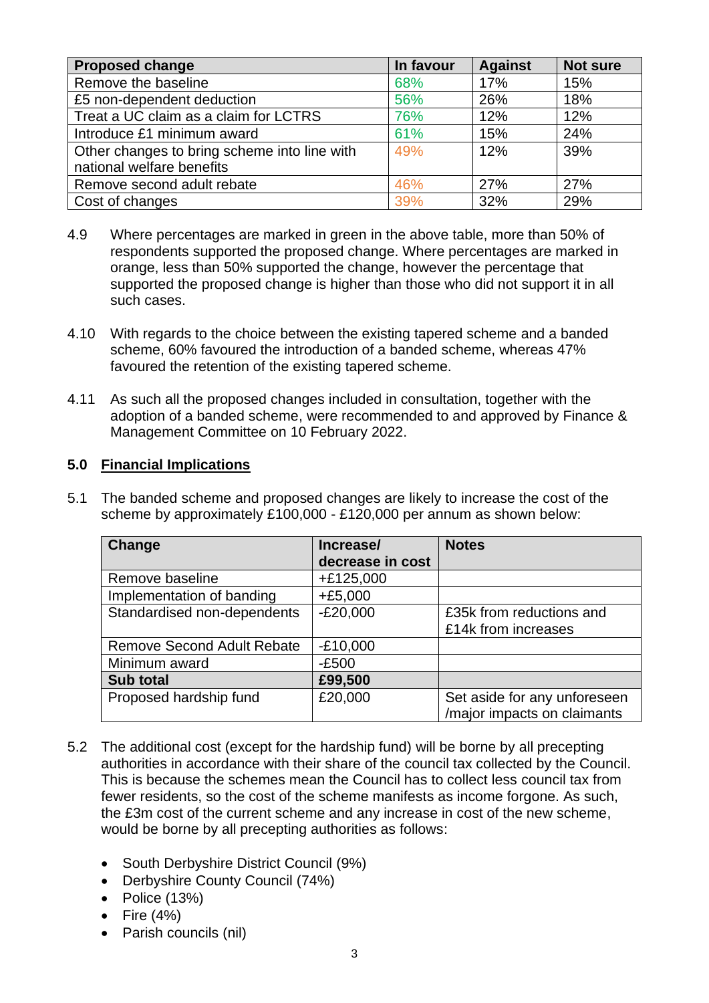| <b>Proposed change</b>                       | In favour | <b>Against</b> | <b>Not sure</b> |
|----------------------------------------------|-----------|----------------|-----------------|
| Remove the baseline                          | 68%       | 17%            | 15%             |
| £5 non-dependent deduction                   | 56%       | 26%            | 18%             |
| Treat a UC claim as a claim for LCTRS        | 76%       | 12%            | 12%             |
| Introduce £1 minimum award                   | 61%       | 15%            | 24%             |
| Other changes to bring scheme into line with | 49%       | 12%            | 39%             |
| national welfare benefits                    |           |                |                 |
| Remove second adult rebate                   | 46%       | <b>27%</b>     | 27%             |
| Cost of changes                              | 39%       | 32%            | 29%             |

- 4.9 Where percentages are marked in green in the above table, more than 50% of respondents supported the proposed change. Where percentages are marked in orange, less than 50% supported the change, however the percentage that supported the proposed change is higher than those who did not support it in all such cases.
- 4.10 With regards to the choice between the existing tapered scheme and a banded scheme, 60% favoured the introduction of a banded scheme, whereas 47% favoured the retention of the existing tapered scheme.
- 4.11 As such all the proposed changes included in consultation, together with the adoption of a banded scheme, were recommended to and approved by Finance & Management Committee on 10 February 2022.

# **5.0 Financial Implications**

5.1 The banded scheme and proposed changes are likely to increase the cost of the scheme by approximately £100,000 - £120,000 per annum as shown below:

| <b>Change</b>                     | Increase/        | <b>Notes</b>                 |
|-----------------------------------|------------------|------------------------------|
|                                   | decrease in cost |                              |
| Remove baseline                   | $+£125,000$      |                              |
| Implementation of banding         | $+£5,000$        |                              |
| Standardised non-dependents       | $-E20,000$       | £35k from reductions and     |
|                                   |                  | £14k from increases          |
| <b>Remove Second Adult Rebate</b> | $-£10,000$       |                              |
| Minimum award                     | $-E500$          |                              |
| <b>Sub total</b>                  | £99,500          |                              |
| Proposed hardship fund            | £20,000          | Set aside for any unforeseen |
|                                   |                  | /major impacts on claimants  |

- 5.2 The additional cost (except for the hardship fund) will be borne by all precepting authorities in accordance with their share of the council tax collected by the Council. This is because the schemes mean the Council has to collect less council tax from fewer residents, so the cost of the scheme manifests as income forgone. As such, the £3m cost of the current scheme and any increase in cost of the new scheme, would be borne by all precepting authorities as follows:
	- South Derbyshire District Council (9%)
	- Derbyshire County Council (74%)
	- Police (13%)
	- Fire  $(4\%)$
	- Parish councils (nil)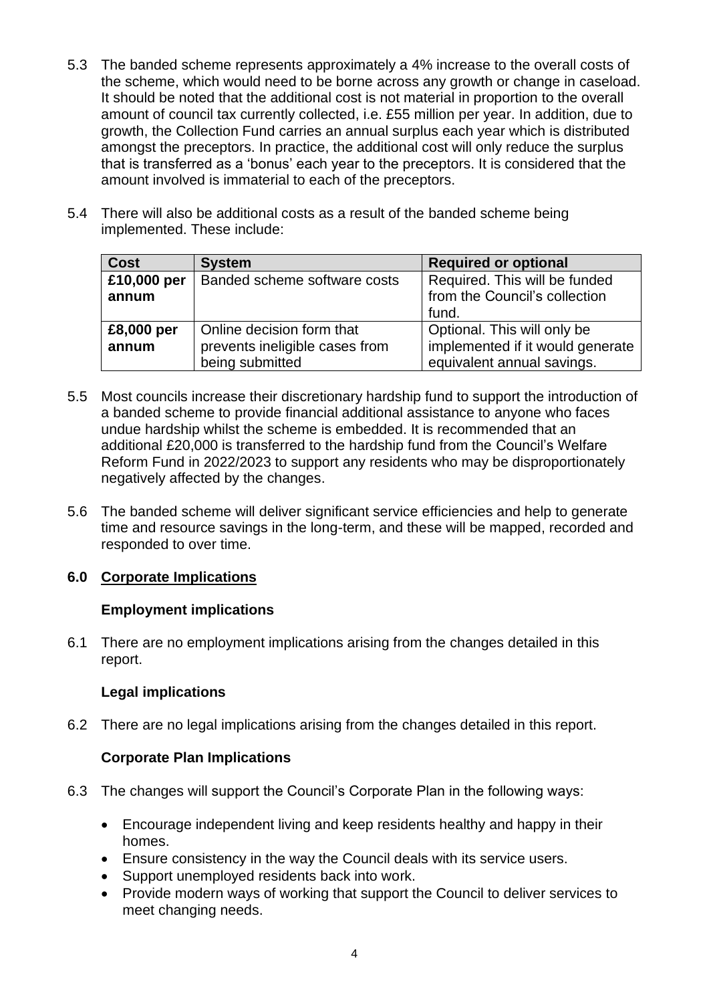- 5.3 The banded scheme represents approximately a 4% increase to the overall costs of the scheme, which would need to be borne across any growth or change in caseload. It should be noted that the additional cost is not material in proportion to the overall amount of council tax currently collected, i.e. £55 million per year. In addition, due to growth, the Collection Fund carries an annual surplus each year which is distributed amongst the preceptors. In practice, the additional cost will only reduce the surplus that is transferred as a 'bonus' each year to the preceptors. It is considered that the amount involved is immaterial to each of the preceptors.
- 5.4 There will also be additional costs as a result of the banded scheme being implemented. These include:

| <b>Cost</b> | <b>System</b>                  | <b>Required or optional</b>      |
|-------------|--------------------------------|----------------------------------|
| £10,000 per | Banded scheme software costs   | Required. This will be funded    |
| annum       |                                | from the Council's collection    |
|             |                                | fund.                            |
| £8,000 per  | Online decision form that      | Optional. This will only be      |
| annum       | prevents ineligible cases from | implemented if it would generate |
|             | being submitted                | equivalent annual savings.       |

- 5.5 Most councils increase their discretionary hardship fund to support the introduction of a banded scheme to provide financial additional assistance to anyone who faces undue hardship whilst the scheme is embedded. It is recommended that an additional £20,000 is transferred to the hardship fund from the Council's Welfare Reform Fund in 2022/2023 to support any residents who may be disproportionately negatively affected by the changes.
- 5.6 The banded scheme will deliver significant service efficiencies and help to generate time and resource savings in the long-term, and these will be mapped, recorded and responded to over time.

# **6.0 Corporate Implications**

#### **Employment implications**

6.1 There are no employment implications arising from the changes detailed in this report.

#### **Legal implications**

6.2 There are no legal implications arising from the changes detailed in this report.

#### **Corporate Plan Implications**

- 6.3 The changes will support the Council's Corporate Plan in the following ways:
	- Encourage independent living and keep residents healthy and happy in their homes.
	- Ensure consistency in the way the Council deals with its service users.
	- Support unemployed residents back into work.
	- Provide modern ways of working that support the Council to deliver services to meet changing needs.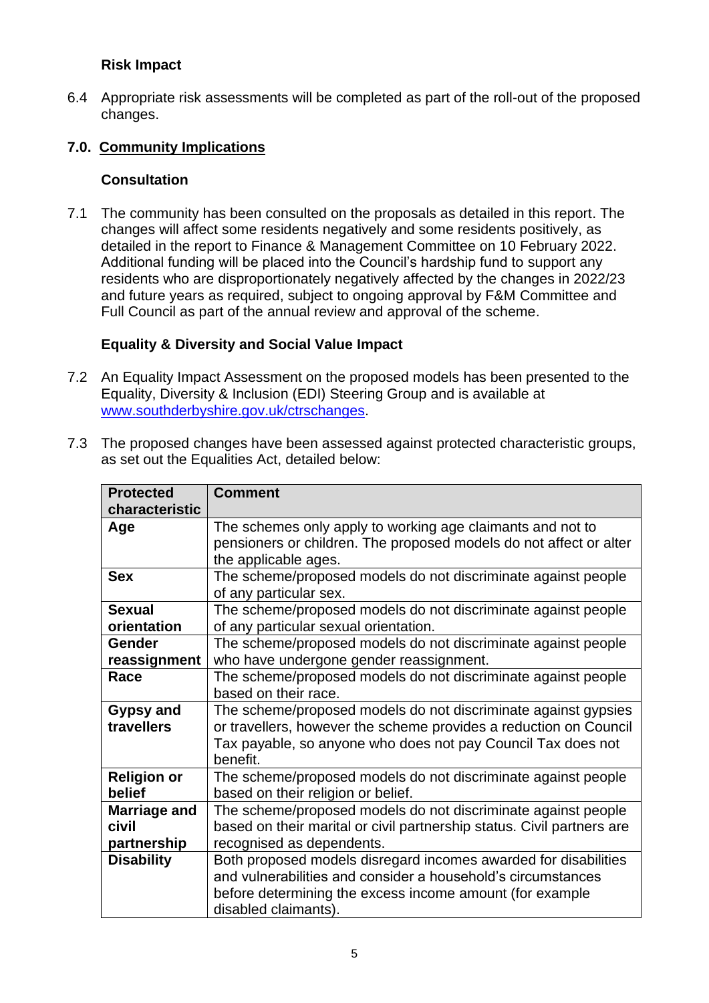# **Risk Impact**

6.4 Appropriate risk assessments will be completed as part of the roll-out of the proposed changes.

## **7.0. Community Implications**

## **Consultation**

7.1 The community has been consulted on the proposals as detailed in this report. The changes will affect some residents negatively and some residents positively, as detailed in the report to Finance & Management Committee on 10 February 2022. Additional funding will be placed into the Council's hardship fund to support any residents who are disproportionately negatively affected by the changes in 2022/23 and future years as required, subject to ongoing approval by F&M Committee and Full Council as part of the annual review and approval of the scheme.

## **Equality & Diversity and Social Value Impact**

- 7.2 An Equality Impact Assessment on the proposed models has been presented to the Equality, Diversity & Inclusion (EDI) Steering Group and is available at [www.southderbyshire.gov.uk/ctrschanges.](http://www.southderbyshire.gov.uk/ctrschanges)
- 7.3 The proposed changes have been assessed against protected characteristic groups, as set out the Equalities Act, detailed below:

| <b>Protected</b><br>characteristic          | <b>Comment</b>                                                                                                                                                                                                      |
|---------------------------------------------|---------------------------------------------------------------------------------------------------------------------------------------------------------------------------------------------------------------------|
| Age                                         | The schemes only apply to working age claimants and not to<br>pensioners or children. The proposed models do not affect or alter<br>the applicable ages.                                                            |
| <b>Sex</b>                                  | The scheme/proposed models do not discriminate against people<br>of any particular sex.                                                                                                                             |
| <b>Sexual</b><br>orientation                | The scheme/proposed models do not discriminate against people<br>of any particular sexual orientation.                                                                                                              |
| Gender<br>reassignment                      | The scheme/proposed models do not discriminate against people<br>who have undergone gender reassignment.                                                                                                            |
| Race                                        | The scheme/proposed models do not discriminate against people<br>based on their race.                                                                                                                               |
| <b>Gypsy and</b><br>travellers              | The scheme/proposed models do not discriminate against gypsies<br>or travellers, however the scheme provides a reduction on Council<br>Tax payable, so anyone who does not pay Council Tax does not<br>benefit.     |
| <b>Religion or</b><br>belief                | The scheme/proposed models do not discriminate against people<br>based on their religion or belief.                                                                                                                 |
| <b>Marriage and</b><br>civil<br>partnership | The scheme/proposed models do not discriminate against people<br>based on their marital or civil partnership status. Civil partners are<br>recognised as dependents.                                                |
| <b>Disability</b>                           | Both proposed models disregard incomes awarded for disabilities<br>and vulnerabilities and consider a household's circumstances<br>before determining the excess income amount (for example<br>disabled claimants). |